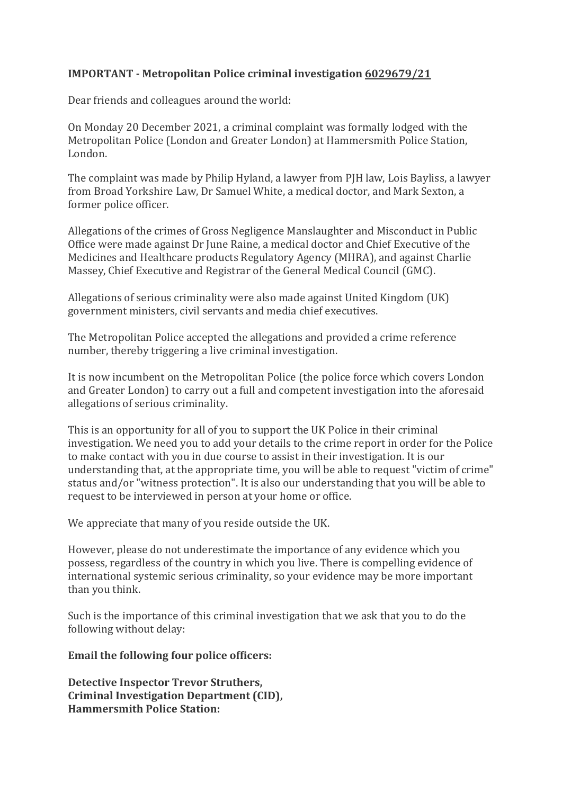## **IMPORTANT - Metropolitan Police criminal investigation 6029679/21**

Dear friends and colleagues around the world:

On Monday 20 December 2021, a criminal complaint was formally lodged with the Metropolitan Police (London and Greater London) at Hammersmith Police Station, London.

The complaint was made by Philip Hyland, a lawyer from PJH law, Lois Bayliss, a lawyer from Broad Yorkshire Law,Dr Samuel White, a medical doctor, and Mark Sexton, a former police officer.

Allegations of the crimes of Gross Negligence Manslaughter and Misconduct in Public Office were made against Dr June Raine, a medical doctor and Chief Executive of the Medicines and Healthcare products Regulatory Agency (MHRA), and against Charlie Massey, Chief Executive and Registrar of the General Medical Council (GMC).

Allegations of serious criminality were also made against United Kingdom (UK) government ministers, civil servants and media chief executives.

The Metropolitan Police accepted the allegations and provided a crime reference number, thereby triggering a live criminal investigation.

It is now incumbent on the Metropolitan Police (the police force which covers London and Greater London) to carry out a full and competent investigation into the aforesaid allegations of serious criminality.

This is an opportunity for all of you to support the UK Police in their criminal investigation. We need you to add your details to the crime report in order for the Police to make contact with you in due course to assist in their investigation. It is our understanding that, at the appropriate time, you will be able to request "victim of crime" status and/or "witness protection". It is also our understanding that you will be able to request to be interviewed in person atyour home or office.

We appreciate that many of you reside outside the UK.

However, please do not underestimate the importance of any evidence which you possess, regardless of the country in which you live. There is compelling evidence of international systemic serious criminality, so yourevidence may be more important than you think.

Such is the importance of this criminal investigation that we ask that you to do the following without delay:

## **Email the following four police officers:**

**Detective Inspector Trevor Struthers, Criminal Investigation Department (CID), Hammersmith Police Station:**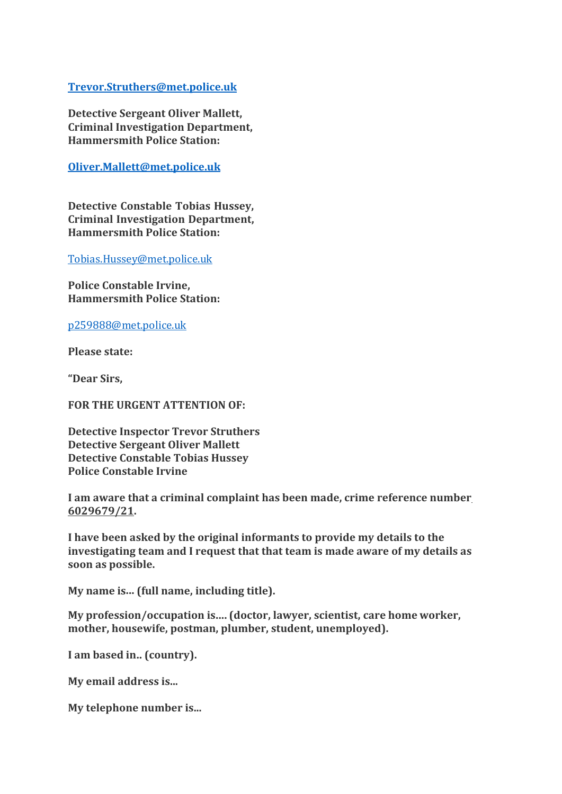## **[Trevor.Struthers@met.police.uk](mailto:Trevor.Struthers@met.police.uk)**

**Detective Sergeant Oliver Mallett, Criminal Investigation Department, Hammersmith Police Station:**

**Oliver.Mallett@met.police.uk**

**Detective Constable Tobias Hussey, Criminal Investigation Department, Hammersmith Police Station:**

[Tobias.Hussey@met.police.uk](mailto:Tobias.Hussey@met.police.uk)

**Police Constable Irvine, Hammersmith Police Station:**

[p259888@met.police.uk](mailto:p259888@met.police.uk)

**Please state:**

**"Dear Sirs,**

**FOR THE URGENT ATTENTION OF:**

**Detective Inspector Trevor Struthers Detective Sergeant Oliver Mallett Detective Constable Tobias Hussey Police Constable Irvine**

**I am aware that a criminal complaint has been made, crime reference number 6029679/21.**

**I have been asked by the original informants to provide my details to the investigating team and I request that that team is made awareof my details as soon as possible.My name is... (full name, including title).**

**My profession/occupation is.... (doctor, lawyer, scientist, care home worker, mother, housewife, postman, plumber, student, unemployed).**

**I am based in.. (country).**

**My email address is...**

**My telephone number is...**